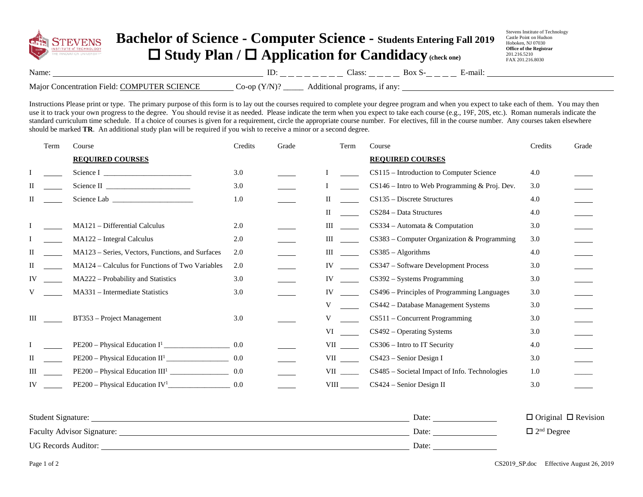

## **Bachelor of Science - Computer Science - Students Entering Fall 201<sup>9</sup>** □ Study Plan / □ Application for Candidacy (check one)

Stevens Institute of Technology Castle Point on Hudson Hoboken, NJ 07030 **Office of the Registrar** 201.216.5210 FAX 201.216.8030

| лаш                                | <br><b>Contract Contract Contract Contract</b><br>and the company's company's company's<br>_ | 000<br>_____<br>___<br><u> The Common State Common Sta</u> te | ___<br><u> The Common School Common School Common School Common School Common School Common School Common School Common School Common School Common School Common School Common School Common School Common School Common School Common</u> | mo<br>ни |
|------------------------------------|----------------------------------------------------------------------------------------------|---------------------------------------------------------------|---------------------------------------------------------------------------------------------------------------------------------------------------------------------------------------------------------------------------------------------|----------|
| Maior<br>on)<br>P10<br>яноп<br>enn | or<br>$\tilde{}$                                                                             | au                                                            |                                                                                                                                                                                                                                             |          |

Instructions Please print or type. The primary purpose of this form is to lay out the courses required to complete your degree program and when you expect to take each of them. You may then use it to track your own progress to the degree. You should revise it as needed. Please indicate the term when you expect to take each course (e.g., 19F, 20S, etc.). Roman numerals indicate the standard curriculum time schedule. If a choice of courses is given for a requirement, circle the appropriate course number. For electives, fill in the course number. Any courses taken elsewhere should be marked **TR**. An additional study plan will be required if you wish to receive a minor or a second degree.

|    | Term | Course                                                       | Credits | Grade | Term                                                                                                                                                                                                                                 | Course                                          | Credits | Grade |
|----|------|--------------------------------------------------------------|---------|-------|--------------------------------------------------------------------------------------------------------------------------------------------------------------------------------------------------------------------------------------|-------------------------------------------------|---------|-------|
|    |      | <b>REQUIRED COURSES</b>                                      |         |       |                                                                                                                                                                                                                                      | <b>REQUIRED COURSES</b>                         |         |       |
|    |      | Science I $\frac{1}{\sqrt{1-\frac{1}{2}} \cdot \frac{1}{2}}$ | 3.0     |       |                                                                                                                                                                                                                                      | CS115 - Introduction to Computer Science        | 4.0     |       |
| П  |      |                                                              | 3.0     |       |                                                                                                                                                                                                                                      | $CS146$ – Intro to Web Programming & Proj. Dev. | 3.0     |       |
| П  |      |                                                              | 1.0     |       | П                                                                                                                                                                                                                                    | CS135 - Discrete Structures                     | 4.0     |       |
|    |      |                                                              |         |       | П                                                                                                                                                                                                                                    | CS284 - Data Structures                         | 4.0     |       |
|    |      | MA121 – Differential Calculus                                | 2.0     |       | Ш                                                                                                                                                                                                                                    | $CS334 -$ Automata & Computation                | 3.0     |       |
|    |      | MA122 - Integral Calculus                                    | 2.0     |       | Ш                                                                                                                                                                                                                                    | $CS383$ – Computer Organization & Programming   | 3.0     |       |
| П  |      | MA123 - Series, Vectors, Functions, and Surfaces             | 2.0     |       | Ш                                                                                                                                                                                                                                    | $CS385 - Algorithms$                            | 4.0     |       |
| П  |      | MA124 – Calculus for Functions of Two Variables              | 2.0     |       | IV.                                                                                                                                                                                                                                  | CS347 - Software Development Process            | 3.0     |       |
| IV |      | MA222 - Probability and Statistics                           | 3.0     |       | IV.                                                                                                                                                                                                                                  | $CS392 - Systems Programming$                   | 3.0     |       |
| V  |      | MA331 – Intermediate Statistics                              | 3.0     |       | IV                                                                                                                                                                                                                                   | CS496 - Principles of Programming Languages     | 3.0     |       |
|    |      |                                                              |         |       | V                                                                                                                                                                                                                                    | CS442 - Database Management Systems             | 3.0     |       |
| Ш  |      | BT353 - Project Management                                   | 3.0     |       |                                                                                                                                                                                                                                      | CS511 - Concurrent Programming                  | 3.0     |       |
|    |      |                                                              |         |       | VI                                                                                                                                                                                                                                   | $CS492 - Operating Systems$                     | 3.0     |       |
|    |      |                                                              | 0.0     |       | VII viimend van de vers van de vers van de vers van de vers van de vers van de vers van de vers van de vers va<br>De vers van de vers van de vers van de vers van de vers van de vers van de vers van de vers van de vers van de<br> | CS306 - Intro to IT Security                    | 4.0     |       |
| П  |      | $PE200 - Physical Education II1$ 0.0                         |         |       | <b>VII</b>                                                                                                                                                                                                                           | $CS423$ – Senior Design I                       | 3.0     |       |
| Ш  |      |                                                              | 0.0     |       | VII QUEL                                                                                                                                                                                                                             | CS485 - Societal Impact of Info. Technologies   | 1.0     |       |
| IV |      |                                                              | 0.0     |       | <b>VIII</b>                                                                                                                                                                                                                          | CS424 – Senior Design II                        | 3.0     |       |
|    |      |                                                              |         |       |                                                                                                                                                                                                                                      |                                                 |         |       |

| <b>Student Signature:</b>         | Date: | $\Box$ Original $\Box$ Revision |
|-----------------------------------|-------|---------------------------------|
| <b>Faculty Advisor Signature:</b> | Date: | $\gamma^{\text{nd}}$ Degree     |
| <b>UG Records Auditor:</b>        | Date: |                                 |